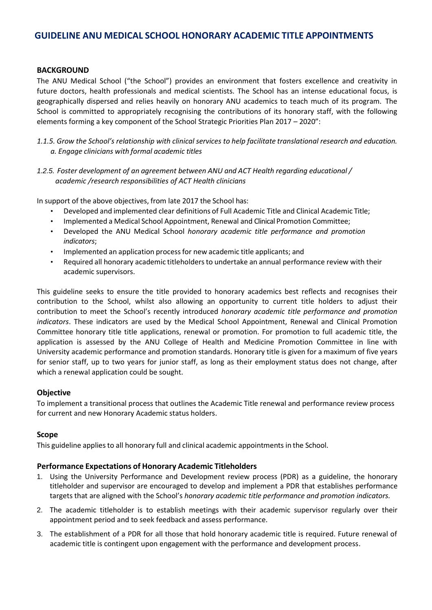# **GUIDELINE ANU MEDICAL SCHOOL HONORARY ACADEMIC TITLE APPOINTMENTS**

### **BACKGROUND**

The ANU Medical School ("the School") provides an environment that fosters excellence and creativity in future doctors, health professionals and medical scientists. The School has an intense educational focus, is geographically dispersed and relies heavily on honorary ANU academics to teach much of its program. The School is committed to appropriately recognising the contributions of its honorary staff, with the following elements forming a key component of the School Strategic Priorities Plan 2017 – 2020":

- *1.1.5. Grow the School's relationship with clinical services to help facilitate translational research and education. a. Engage clinicians with formal academic titles*
- *1.2.5. Foster development of an agreement between ANU and ACT Health regarding educational / academic /research responsibilities of ACT Health clinicians*

In support of the above objectives, from late 2017 the School has:

- Developed and implemented clear definitions of Full Academic Title and Clinical Academic Title;
- Implemented a Medical School Appointment, Renewal and Clinical Promotion Committee;
- Developed the ANU Medical School *honorary academic title performance and promotion indicators*;
- Implemented an application processfor new academic title applicants; and
- Required all honorary academic titleholdersto undertake an annual performance review with their academic supervisors.

This guideline seeks to ensure the title provided to honorary academics best reflects and recognises their contribution to the School, whilst also allowing an opportunity to current title holders to adjust their contribution to meet the School's recently introduced *honorary academic title performance and promotion indicators*. These indicators are used by the Medical School Appointment, Renewal and Clinical Promotion Committee honorary title title applications, renewal or promotion. For promotion to full academic title, the application is assessed by the ANU College of Health and Medicine Promotion Committee in line with University academic performance and promotion standards. Honorary title is given for a maximum of five years for senior staff, up to two years for junior staff, as long as their employment status does not change, after which a renewal application could be sought.

# **Objective**

To implement a transitional process that outlines the Academic Title renewal and performance review process for current and new Honorary Academic status holders.

### **Scope**

This guideline appliesto all honorary full and clinical academic appointments in the School.

### **Performance Expectations of Honorary Academic Titleholders**

- 1. Using the University Performance and Development review process (PDR) as a guideline, the honorary titleholder and supervisor are encouraged to develop and implement a PDR that establishes performance targets that are aligned with the School's *honorary academic title performance and promotion indicators.*
- 2. The academic titleholder is to establish meetings with their academic supervisor regularly over their appointment period and to seek feedback and assess performance.
- 3. The establishment of a PDR for all those that hold honorary academic title is required. Future renewal of academic title is contingent upon engagement with the performance and development process.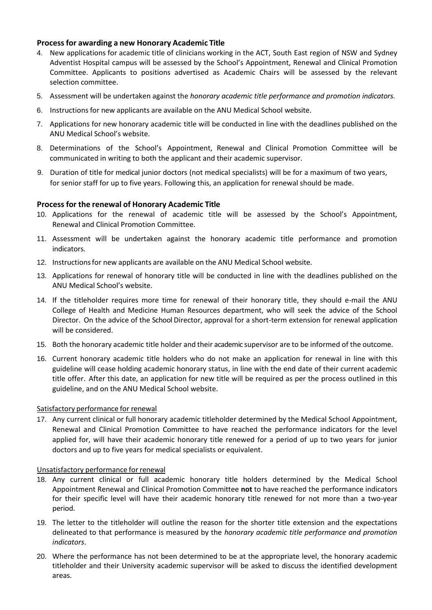# **Processfor awarding a new Honorary Academic Title**

- 4. New applications for academic title of clinicians working in the ACT, South East region of NSW and Sydney Adventist Hospital campus will be assessed by the School's Appointment, Renewal and Clinical Promotion Committee. Applicants to positions advertised as Academic Chairs will be assessed by the relevant selection committee.
- 5. Assessment will be undertaken against the *honorary academic title performance and promotion indicators.*
- 6. Instructions for new applicants are available on the ANU Medical School website.
- 7. Applications for new honorary academic title will be conducted in line with the deadlines published on the ANU Medical School's website.
- 8. Determinations of the School's Appointment, Renewal and Clinical Promotion Committee will be communicated in writing to both the applicant and their academic supervisor.
- 9. Duration of title for medical junior doctors (not medical specialists) will be for a maximum of two years, for senior staff for up to five years. Following this, an application for renewal should be made.

### **Process for the renewal of Honorary Academic Title**

- 10. Applications for the renewal of academic title will be assessed by the School's Appointment, Renewal and Clinical Promotion Committee.
- 11. Assessment will be undertaken against the honorary academic title performance and promotion indicators.
- 12. Instructionsfor new applicants are available on the ANU Medical School website.
- 13. Applications for renewal of honorary title will be conducted in line with the deadlines published on the ANU Medical School's website.
- 14. If the titleholder requires more time for renewal of their honorary title, they should e-mail the ANU College of Health and Medicine Human Resources department, who will seek the advice of the School Director. On the advice of the School Director, approval for a short-term extension for renewal application will be considered.
- 15. Both the honorary academic title holder and their academic supervisor are to be informed of the outcome.
- 16. Current honorary academic title holders who do not make an application for renewal in line with this guideline will cease holding academic honorary status, in line with the end date of their current academic title offer. After this date, an application for new title will be required as per the process outlined in this guideline, and on the ANU Medical School website.

### Satisfactory performance for renewal

17. Any current clinical or full honorary academic titleholder determined by the Medical School Appointment, Renewal and Clinical Promotion Committee to have reached the performance indicators for the level applied for, will have their academic honorary title renewed for a period of up to two years for junior doctors and up to five years for medical specialists or equivalent.

### Unsatisfactory performance for renewal

- 18. Any current clinical or full academic honorary title holders determined by the Medical School Appointment Renewal and Clinical Promotion Committee **not** to have reached the performance indicators for their specific level will have their academic honorary title renewed for not more than a two-year period.
- 19. The letter to the titleholder will outline the reason for the shorter title extension and the expectations delineated to that performance is measured by the *honorary academic title performance and promotion indicators*.
- 20. Where the performance has not been determined to be at the appropriate level, the honorary academic titleholder and their University academic supervisor will be asked to discuss the identified development areas.